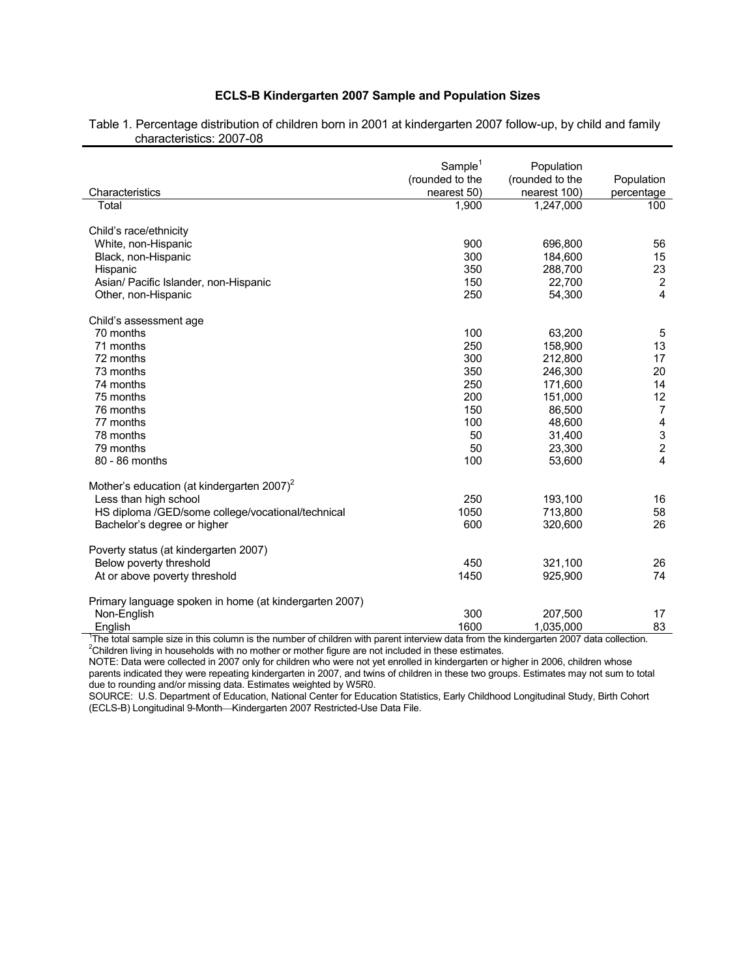## **ECLS-B Kindergarten 2007 Sample and Population Sizes**

|                                                                                 | Sample <sup>1</sup> | Population      |                         |
|---------------------------------------------------------------------------------|---------------------|-----------------|-------------------------|
|                                                                                 | (rounded to the     | (rounded to the | Population              |
| Characteristics                                                                 | nearest 50)         | nearest 100)    | percentage              |
| Total                                                                           | 1,900               | 1,247,000       | 100                     |
| Child's race/ethnicity                                                          |                     |                 |                         |
| White, non-Hispanic                                                             | 900                 | 696,800         | 56                      |
| Black, non-Hispanic                                                             | 300                 | 184,600         | 15                      |
| Hispanic                                                                        | 350                 | 288,700         | 23                      |
| Asian/ Pacific Islander, non-Hispanic                                           | 150                 | 22,700          | $\boldsymbol{2}$        |
| Other, non-Hispanic                                                             | 250                 | 54,300          | 4                       |
|                                                                                 |                     |                 |                         |
| Child's assessment age                                                          |                     |                 |                         |
| 70 months                                                                       | 100                 | 63,200          | 5                       |
| 71 months                                                                       | 250                 | 158,900         | 13                      |
| 72 months                                                                       | 300                 | 212,800         | 17                      |
| 73 months                                                                       | 350                 | 246,300         | 20                      |
| 74 months                                                                       | 250                 | 171,600         | 14                      |
| 75 months                                                                       | 200                 | 151,000         | 12                      |
| 76 months                                                                       | 150                 | 86,500          | $\overline{7}$          |
| 77 months                                                                       | 100                 | 48,600          | $\overline{\mathbf{4}}$ |
| 78 months                                                                       | 50                  | 31,400          | $\mathfrak{S}$          |
| 79 months                                                                       | 50                  | 23,300          | $\overline{c}$          |
| 80 - 86 months                                                                  | 100                 | 53,600          | 4                       |
|                                                                                 |                     |                 |                         |
| Mother's education (at kindergarten 2007) <sup>2</sup><br>Less than high school | 250                 | 193,100         | 16                      |
| HS diploma /GED/some college/vocational/technical                               | 1050                | 713,800         | 58                      |
|                                                                                 |                     |                 | 26                      |
| Bachelor's degree or higher                                                     | 600                 | 320,600         |                         |
| Poverty status (at kindergarten 2007)                                           |                     |                 |                         |
| Below poverty threshold                                                         | 450                 | 321,100         | 26                      |
| At or above poverty threshold                                                   | 1450                | 925,900         | 74                      |
|                                                                                 |                     |                 |                         |
| Primary language spoken in home (at kindergarten 2007)                          |                     |                 |                         |
| Non-English                                                                     | 300                 | 207,500         | 17                      |
| English                                                                         | 1600                | 1,035,000       | 83                      |

| Table 1. Percentage distribution of children born in 2001 at kindergarten 2007 follow-up, by child and family |  |  |
|---------------------------------------------------------------------------------------------------------------|--|--|
| characteristics: 2007-08                                                                                      |  |  |

English 1600 1,035,000 1,035,000 English 1600 1,035,000 1,035,000 English interview data from the kindergarten 2007 data collection.<br><sup>1</sup>The total sample size in this column is the number of children with parent interview d

NOTE: Data were collected in 2007 only for children who were not yet enrolled in kindergarten or higher in 2006, children whose parents indicated they were repeating kindergarten in 2007, and twins of children in these two groups. Estimates may not sum to total due to rounding and/or missing data. Estimates weighted by W5R0.

SOURCE: U.S. Department of Education, National Center for Education Statistics, Early Childhood Longitudinal Study, Birth Cohort (ECLS-B) Longitudinal 9-Month-Kindergarten 2007 Restricted-Use Data File.